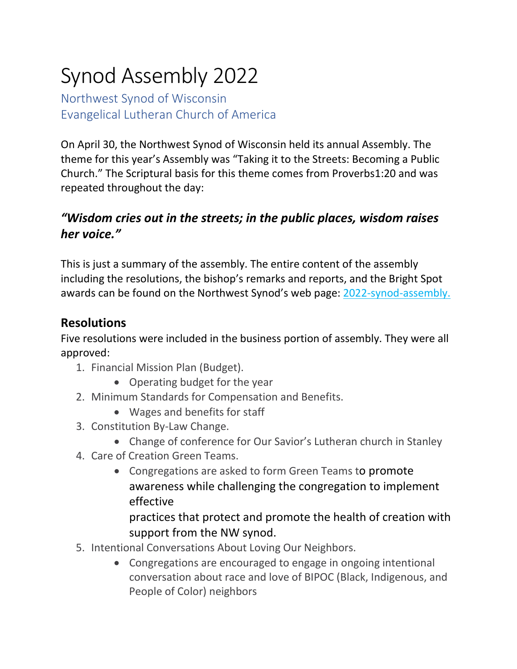# Synod Assembly 2022

Northwest Synod of Wisconsin Evangelical Lutheran Church of America

On April 30, the Northwest Synod of Wisconsin held its annual Assembly. The theme for this year's Assembly was "Taking it to the Streets: Becoming a Public Church." The Scriptural basis for this theme comes from Proverbs1:20 and was repeated throughout the day:

# *"Wisdom cries out in the streets; in the public places, wisdom raises her voice."*

This is just a summary of the assembly. The entire content of the assembly including the resolutions, the bishop's remarks and reports, and the Bright Spot awards can be found on the Northwest Synod's web page: [2022-synod-assembly.](http://nwswi.org/2022-synod-assembly)

## **Resolutions**

Five resolutions were included in the business portion of assembly. They were all approved:

- 1. Financial Mission Plan (Budget).
	- Operating budget for the year
- 2. Minimum Standards for Compensation and Benefits.
	- Wages and benefits for staff
- 3. Constitution By-Law Change.
	- Change of conference for Our Savior's Lutheran church in Stanley
- 4. Care of Creation Green Teams.
	- Congregations are asked to form Green Teams to promote awareness while challenging the congregation to implement effective

practices that protect and promote the health of creation with support from the NW synod.

- 5. Intentional Conversations About Loving Our Neighbors.
	- Congregations are encouraged to engage in ongoing intentional conversation about race and love of BIPOC (Black, Indigenous, and People of Color) neighbors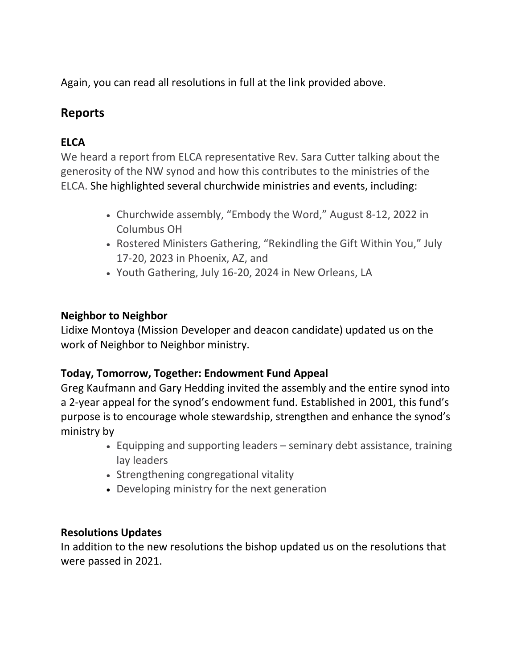Again, you can read all resolutions in full at the link provided above.

## **Reports**

## **ELCA**

We heard a report from ELCA representative Rev. Sara Cutter talking about the generosity of the NW synod and how this contributes to the ministries of the ELCA. She highlighted several churchwide ministries and events, including:

- Churchwide assembly, "Embody the Word," August 8-12, 2022 in Columbus OH
- Rostered Ministers Gathering, "Rekindling the Gift Within You," July 17-20, 2023 in Phoenix, AZ, and
- Youth Gathering, July 16-20, 2024 in New Orleans, LA

#### **Neighbor to Neighbor**

Lidixe Montoya (Mission Developer and deacon candidate) updated us on the work of Neighbor to Neighbor ministry.

#### **Today, Tomorrow, Together: Endowment Fund Appeal**

Greg Kaufmann and Gary Hedding invited the assembly and the entire synod into a 2-year appeal for the synod's endowment fund. Established in 2001, this fund's purpose is to encourage whole stewardship, strengthen and enhance the synod's ministry by

- Equipping and supporting leaders seminary debt assistance, training lay leaders
- Strengthening congregational vitality
- Developing ministry for the next generation

#### **Resolutions Updates**

In addition to the new resolutions the bishop updated us on the resolutions that were passed in 2021.